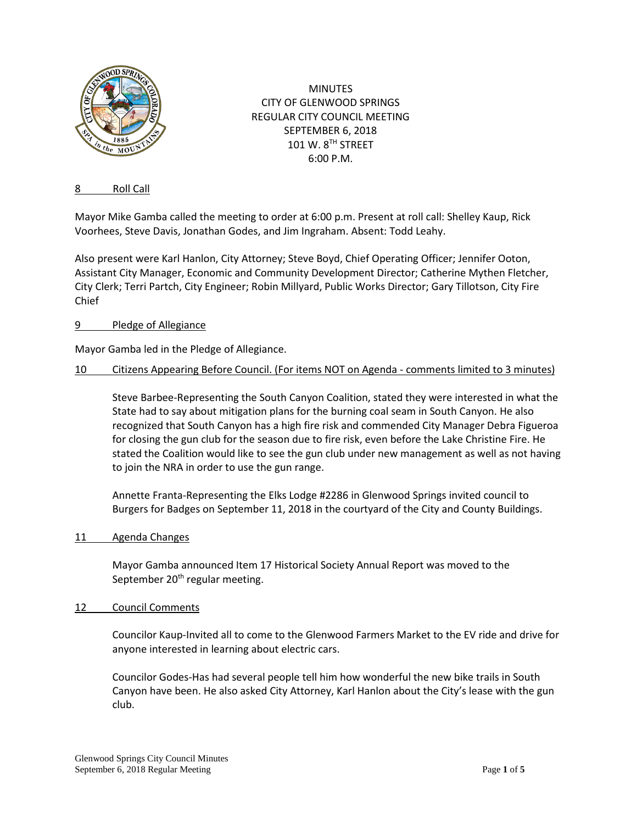

MINUTES CITY OF GLENWOOD SPRINGS REGULAR CITY COUNCIL MEETING SEPTEMBER 6, 2018 101 W. 8TH STREET 6:00 P.M.

### 8 Roll Call

Mayor Mike Gamba called the meeting to order at 6:00 p.m. Present at roll call: Shelley Kaup, Rick Voorhees, Steve Davis, Jonathan Godes, and Jim Ingraham. Absent: Todd Leahy.

Also present were Karl Hanlon, City Attorney; Steve Boyd, Chief Operating Officer; Jennifer Ooton, Assistant City Manager, Economic and Community Development Director; Catherine Mythen Fletcher, City Clerk; Terri Partch, City Engineer; Robin Millyard, Public Works Director; Gary Tillotson, City Fire Chief

### 9 Pledge of Allegiance

Mayor Gamba led in the Pledge of Allegiance.

#### 10 Citizens Appearing Before Council. (For items NOT on Agenda - comments limited to 3 minutes)

Steve Barbee-Representing the South Canyon Coalition, stated they were interested in what the State had to say about mitigation plans for the burning coal seam in South Canyon. He also recognized that South Canyon has a high fire risk and commended City Manager Debra Figueroa for closing the gun club for the season due to fire risk, even before the Lake Christine Fire. He stated the Coalition would like to see the gun club under new management as well as not having to join the NRA in order to use the gun range.

Annette Franta-Representing the Elks Lodge #2286 in Glenwood Springs invited council to Burgers for Badges on September 11, 2018 in the courtyard of the City and County Buildings.

11 Agenda Changes

Mayor Gamba announced Item 17 Historical Society Annual Report was moved to the September  $20<sup>th</sup>$  regular meeting.

#### 12 Council Comments

Councilor Kaup-Invited all to come to the Glenwood Farmers Market to the EV ride and drive for anyone interested in learning about electric cars.

Councilor Godes-Has had several people tell him how wonderful the new bike trails in South Canyon have been. He also asked City Attorney, Karl Hanlon about the City's lease with the gun club.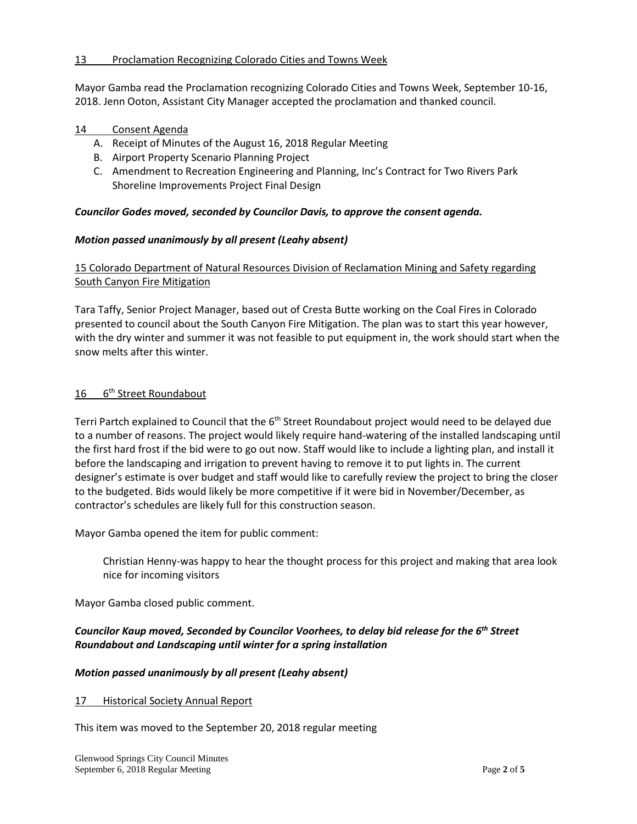### 13 Proclamation Recognizing Colorado Cities and Towns Week

Mayor Gamba read the Proclamation recognizing Colorado Cities and Towns Week, September 10-16, 2018. Jenn Ooton, Assistant City Manager accepted the proclamation and thanked council.

### 14 Consent Agenda

- A. Receipt of Minutes of the August 16, 2018 Regular Meeting
- B. Airport Property Scenario Planning Project
- C. Amendment to Recreation Engineering and Planning, Inc's Contract for Two Rivers Park Shoreline Improvements Project Final Design

### *Councilor Godes moved, seconded by Councilor Davis, to approve the consent agenda.*

### *Motion passed unanimously by all present (Leahy absent)*

15 Colorado Department of Natural Resources Division of Reclamation Mining and Safety regarding South Canyon Fire Mitigation

Tara Taffy, Senior Project Manager, based out of Cresta Butte working on the Coal Fires in Colorado presented to council about the South Canyon Fire Mitigation. The plan was to start this year however, with the dry winter and summer it was not feasible to put equipment in, the work should start when the snow melts after this winter.

### 16 6<sup>th</sup> Street Roundabout

Terri Partch explained to Council that the 6<sup>th</sup> Street Roundabout project would need to be delayed due to a number of reasons. The project would likely require hand-watering of the installed landscaping until the first hard frost if the bid were to go out now. Staff would like to include a lighting plan, and install it before the landscaping and irrigation to prevent having to remove it to put lights in. The current designer's estimate is over budget and staff would like to carefully review the project to bring the closer to the budgeted. Bids would likely be more competitive if it were bid in November/December, as contractor's schedules are likely full for this construction season.

Mayor Gamba opened the item for public comment:

Christian Henny-was happy to hear the thought process for this project and making that area look nice for incoming visitors

Mayor Gamba closed public comment.

# *Councilor Kaup moved, Seconded by Councilor Voorhees, to delay bid release for the 6th Street Roundabout and Landscaping until winter for a spring installation*

# *Motion passed unanimously by all present (Leahy absent)*

### 17 Historical Society Annual Report

This item was moved to the September 20, 2018 regular meeting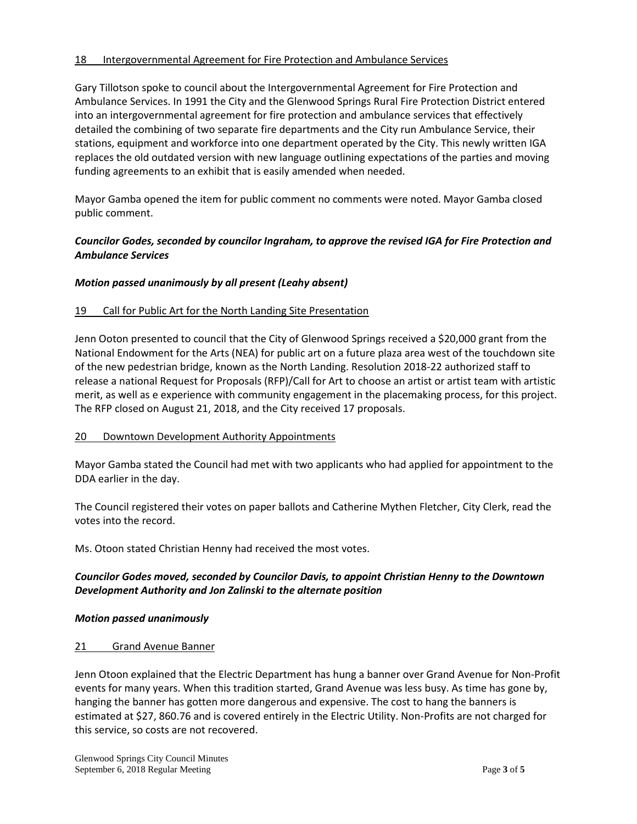### 18 Intergovernmental Agreement for Fire Protection and Ambulance Services

Gary Tillotson spoke to council about the Intergovernmental Agreement for Fire Protection and Ambulance Services. In 1991 the City and the Glenwood Springs Rural Fire Protection District entered into an intergovernmental agreement for fire protection and ambulance services that effectively detailed the combining of two separate fire departments and the City run Ambulance Service, their stations, equipment and workforce into one department operated by the City. This newly written IGA replaces the old outdated version with new language outlining expectations of the parties and moving funding agreements to an exhibit that is easily amended when needed.

Mayor Gamba opened the item for public comment no comments were noted. Mayor Gamba closed public comment.

## *Councilor Godes, seconded by councilor Ingraham, to approve the revised IGA for Fire Protection and Ambulance Services*

### *Motion passed unanimously by all present (Leahy absent)*

### 19 Call for Public Art for the North Landing Site Presentation

Jenn Ooton presented to council that the City of Glenwood Springs received a \$20,000 grant from the National Endowment for the Arts (NEA) for public art on a future plaza area west of the touchdown site of the new pedestrian bridge, known as the North Landing. Resolution 2018-22 authorized staff to release a national Request for Proposals (RFP)/Call for Art to choose an artist or artist team with artistic merit, as well as e experience with community engagement in the placemaking process, for this project. The RFP closed on August 21, 2018, and the City received 17 proposals.

### 20 Downtown Development Authority Appointments

Mayor Gamba stated the Council had met with two applicants who had applied for appointment to the DDA earlier in the day.

The Council registered their votes on paper ballots and Catherine Mythen Fletcher, City Clerk, read the votes into the record.

Ms. Otoon stated Christian Henny had received the most votes.

### *Councilor Godes moved, seconded by Councilor Davis, to appoint Christian Henny to the Downtown Development Authority and Jon Zalinski to the alternate position*

### *Motion passed unanimously*

### 21 Grand Avenue Banner

Jenn Otoon explained that the Electric Department has hung a banner over Grand Avenue for Non-Profit events for many years. When this tradition started, Grand Avenue was less busy. As time has gone by, hanging the banner has gotten more dangerous and expensive. The cost to hang the banners is estimated at \$27, 860.76 and is covered entirely in the Electric Utility. Non-Profits are not charged for this service, so costs are not recovered.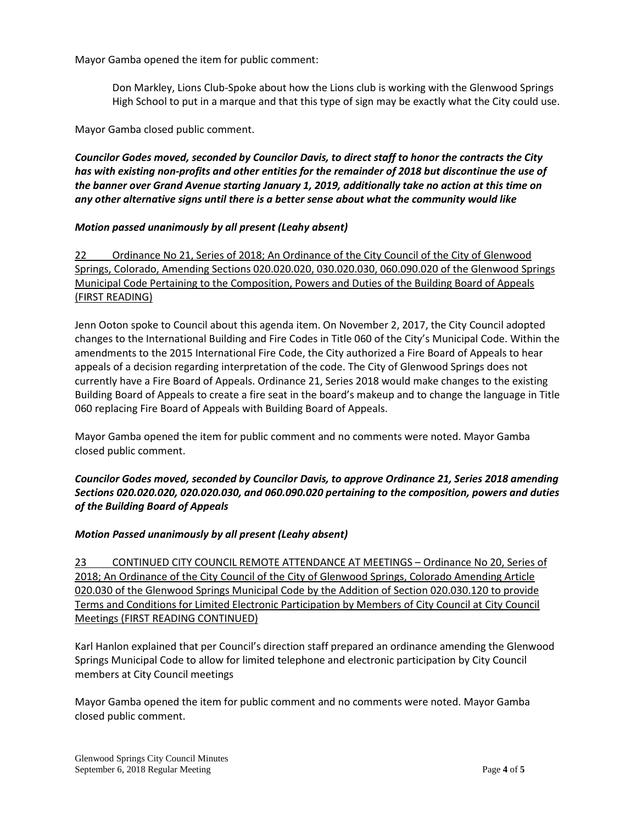Mayor Gamba opened the item for public comment:

Don Markley, Lions Club-Spoke about how the Lions club is working with the Glenwood Springs High School to put in a marque and that this type of sign may be exactly what the City could use.

Mayor Gamba closed public comment.

*Councilor Godes moved, seconded by Councilor Davis, to direct staff to honor the contracts the City has with existing non-profits and other entities for the remainder of 2018 but discontinue the use of the banner over Grand Avenue starting January 1, 2019, additionally take no action at this time on any other alternative signs until there is a better sense about what the community would like*

### *Motion passed unanimously by all present (Leahy absent)*

22 Ordinance No 21, Series of 2018; An Ordinance of the City Council of the City of Glenwood Springs, Colorado, Amending Sections 020.020.020, 030.020.030, 060.090.020 of the Glenwood Springs Municipal Code Pertaining to the Composition, Powers and Duties of the Building Board of Appeals (FIRST READING)

Jenn Ooton spoke to Council about this agenda item. On November 2, 2017, the City Council adopted changes to the International Building and Fire Codes in Title 060 of the City's Municipal Code. Within the amendments to the 2015 International Fire Code, the City authorized a Fire Board of Appeals to hear appeals of a decision regarding interpretation of the code. The City of Glenwood Springs does not currently have a Fire Board of Appeals. Ordinance 21, Series 2018 would make changes to the existing Building Board of Appeals to create a fire seat in the board's makeup and to change the language in Title 060 replacing Fire Board of Appeals with Building Board of Appeals.

Mayor Gamba opened the item for public comment and no comments were noted. Mayor Gamba closed public comment.

*Councilor Godes moved, seconded by Councilor Davis, to approve Ordinance 21, Series 2018 amending Sections 020.020.020, 020.020.030, and 060.090.020 pertaining to the composition, powers and duties of the Building Board of Appeals*

### *Motion Passed unanimously by all present (Leahy absent)*

23 CONTINUED CITY COUNCIL REMOTE ATTENDANCE AT MEETINGS – Ordinance No 20, Series of 2018; An Ordinance of the City Council of the City of Glenwood Springs, Colorado Amending Article 020.030 of the Glenwood Springs Municipal Code by the Addition of Section 020.030.120 to provide Terms and Conditions for Limited Electronic Participation by Members of City Council at City Council Meetings (FIRST READING CONTINUED)

Karl Hanlon explained that per Council's direction staff prepared an ordinance amending the Glenwood Springs Municipal Code to allow for limited telephone and electronic participation by City Council members at City Council meetings

Mayor Gamba opened the item for public comment and no comments were noted. Mayor Gamba closed public comment.